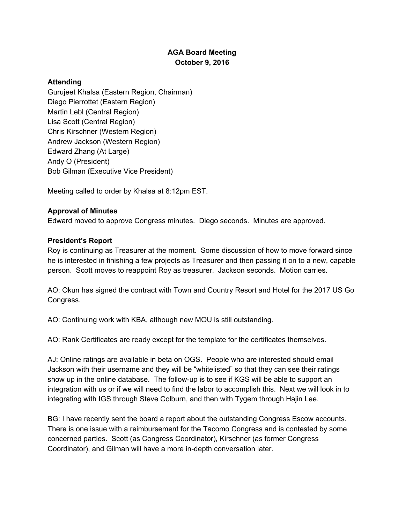## **AGA Board Meeting October 9, 2016**

## **Attending**

Gurujeet Khalsa (Eastern Region, Chairman) Diego Pierrottet (Eastern Region) Martin Lebl (Central Region) Lisa Scott (Central Region) Chris Kirschner (Western Region) Andrew Jackson (Western Region) Edward Zhang (At Large) Andy O (President) Bob Gilman (Executive Vice President)

Meeting called to order by Khalsa at 8:12pm EST.

## **Approval of Minutes**

Edward moved to approve Congress minutes. Diego seconds. Minutes are approved.

## **President's Report**

Roy is continuing as Treasurer at the moment. Some discussion of how to move forward since he is interested in finishing a few projects as Treasurer and then passing it on to a new, capable person. Scott moves to reappoint Roy as treasurer. Jackson seconds. Motion carries.

AO: Okun has signed the contract with Town and Country Resort and Hotel for the 2017 US Go Congress.

AO: Continuing work with KBA, although new MOU is still outstanding.

AO: Rank Certificates are ready except for the template for the certificates themselves.

AJ: Online ratings are available in beta on OGS. People who are interested should email Jackson with their username and they will be "whitelisted" so that they can see their ratings show up in the online database. The follow-up is to see if KGS will be able to support an integration with us or if we will need to find the labor to accomplish this. Next we will look in to integrating with IGS through Steve Colburn, and then with Tygem through Hajin Lee.

BG: I have recently sent the board a report about the outstanding Congress Escow accounts. There is one issue with a reimbursement for the Tacomo Congress and is contested by some concerned parties. Scott (as Congress Coordinator), Kirschner (as former Congress Coordinator), and Gilman will have a more in-depth conversation later.